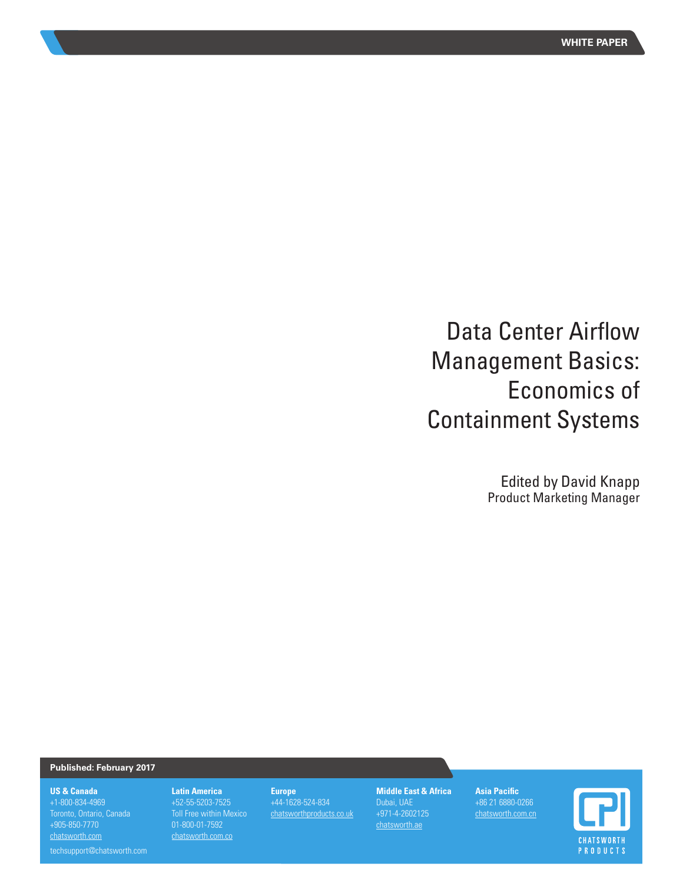# Data Center Airflow Management Basics: Economics of Containment Systems

Edited by David Knapp Product Marketing Manager

#### **Published: February 2017**

#### **US & Canada**

+1-800-834-4969 +905-850-7770 chatsworth.com

techsupport@chatsworth.com

**Latin America**  +52-55-5203-7525 Toll Free within Mexico 01-800-01-7592 chatsworth.com.co

# **Europe** +44-1628-524-834

chatsworthproducts.co.uk

**Middle East & Africa** +971-4-2602125 chatsworth.ae

**Asia Pacific** +86 21 6880-0266 chatsworth.com.cn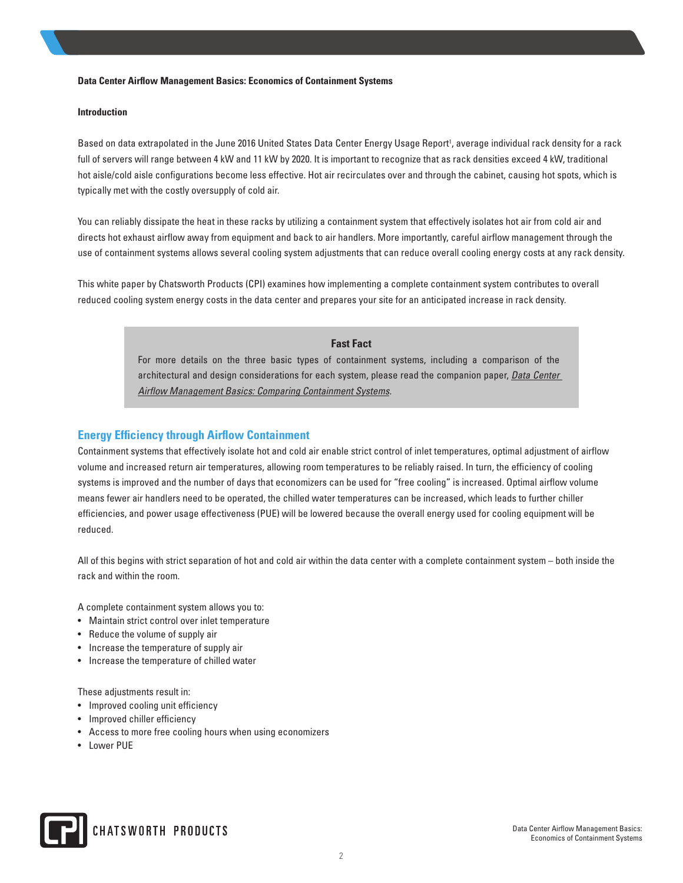#### **Introduction**

Based on data extrapolated in the June 2016 United States Data Center Energy Usage Report<sup>1</sup>, average individual rack density for a rack full of servers will range between 4 kW and 11 kW by 2020. It is important to recognize that as rack densities exceed 4 kW, traditional hot aisle/cold aisle configurations become less effective. Hot air recirculates over and through the cabinet, causing hot spots, which is typically met with the costly oversupply of cold air.

You can reliably dissipate the heat in these racks by utilizing a containment system that effectively isolates hot air from cold air and directs hot exhaust airflow away from equipment and back to air handlers. More importantly, careful airflow management through the use of containment systems allows several cooling system adjustments that can reduce overall cooling energy costs at any rack density.

This white paper by Chatsworth Products (CPI) examines how implementing a complete containment system contributes to overall reduced cooling system energy costs in the data center and prepares your site for an anticipated increase in rack density.

# **Fast Fact**

For more details on the three basic types of containment systems, including a comparison of the architectural and design considerations for each system, please read the companion paper, *Data Center Airflow Management Basics: Comparing Containment Systems.*

# **Energy Efficiency through Airflow Containment**

Containment systems that effectively isolate hot and cold air enable strict control of inlet temperatures, optimal adjustment of airflow volume and increased return air temperatures, allowing room temperatures to be reliably raised. In turn, the efficiency of cooling systems is improved and the number of days that economizers can be used for "free cooling" is increased. Optimal airflow volume means fewer air handlers need to be operated, the chilled water temperatures can be increased, which leads to further chiller efficiencies, and power usage effectiveness (PUE) will be lowered because the overall energy used for cooling equipment will be reduced.

All of this begins with strict separation of hot and cold air within the data center with a complete containment system – both inside the rack and within the room.

A complete containment system allows you to:

- Maintain strict control over inlet temperature
- Reduce the volume of supply air
- Increase the temperature of supply air
- Increase the temperature of chilled water

These adjustments result in:

- Improved cooling unit efficiency
- Improved chiller efficiency
- Access to more free cooling hours when using economizers
- Lower PUE

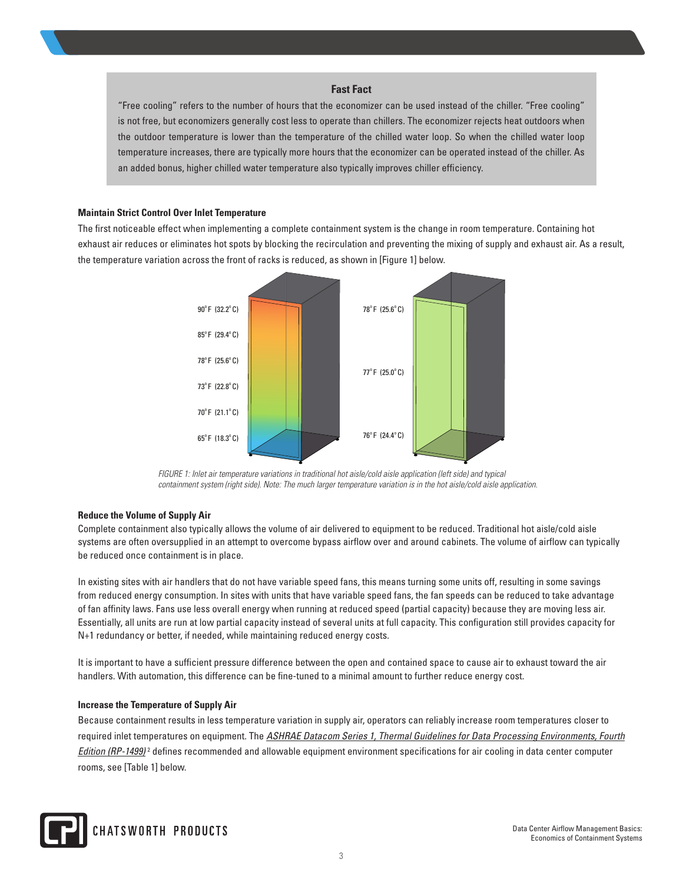## **Fast Fact**

"Free cooling" refers to the number of hours that the economizer can be used instead of the chiller. "Free cooling" is not free, but economizers generally cost less to operate than chillers. The economizer rejects heat outdoors when the outdoor temperature is lower than the temperature of the chilled water loop. So when the chilled water loop temperature increases, there are typically more hours that the economizer can be operated instead of the chiller. As an added bonus, higher chilled water temperature also typically improves chiller efficiency.

#### **Maintain Strict Control Over Inlet Temperature**

The first noticeable effect when implementing a complete containment system is the change in room temperature. Containing hot exhaust air reduces or eliminates hot spots by blocking the recirculation and preventing the mixing of supply and exhaust air. As a result, the temperature variation across the front of racks is reduced, as shown in [Figure 1] below.



*FIGURE 1: Inlet air temperature variations in traditional hot aisle/cold aisle application (left side) and typical containment system (right side). Note: The much larger temperature variation is in the hot aisle/cold aisle application.*

#### **Reduce the Volume of Supply Air**

Complete containment also typically allows the volume of air delivered to equipment to be reduced. Traditional hot aisle/cold aisle systems are often oversupplied in an attempt to overcome bypass airflow over and around cabinets. The volume of airflow can typically be reduced once containment is in place.

In existing sites with air handlers that do not have variable speed fans, this means turning some units off, resulting in some savings from reduced energy consumption. In sites with units that have variable speed fans, the fan speeds can be reduced to take advantage of fan affinity laws. Fans use less overall energy when running at reduced speed (partial capacity) because they are moving less air. Essentially, all units are run at low partial capacity instead of several units at full capacity. This configuration still provides capacity for N+1 redundancy or better, if needed, while maintaining reduced energy costs.

It is important to have a sufficient pressure difference between the open and contained space to cause air to exhaust toward the air handlers. With automation, this difference can be fine-tuned to a minimal amount to further reduce energy cost.

#### **Increase the Temperature of Supply Air**

Because containment results in less temperature variation in supply air, operators can reliably increase room temperatures closer to required inlet temperatures on equipment. The *ASHRAE Datacom Series 1, Thermal Guidelines for Data Processing Environments, Fourth Edition (RP-1499)* <sup>2</sup> defines recommended and allowable equipment environment specifications for air cooling in data center computer rooms, see [Table 1] below.

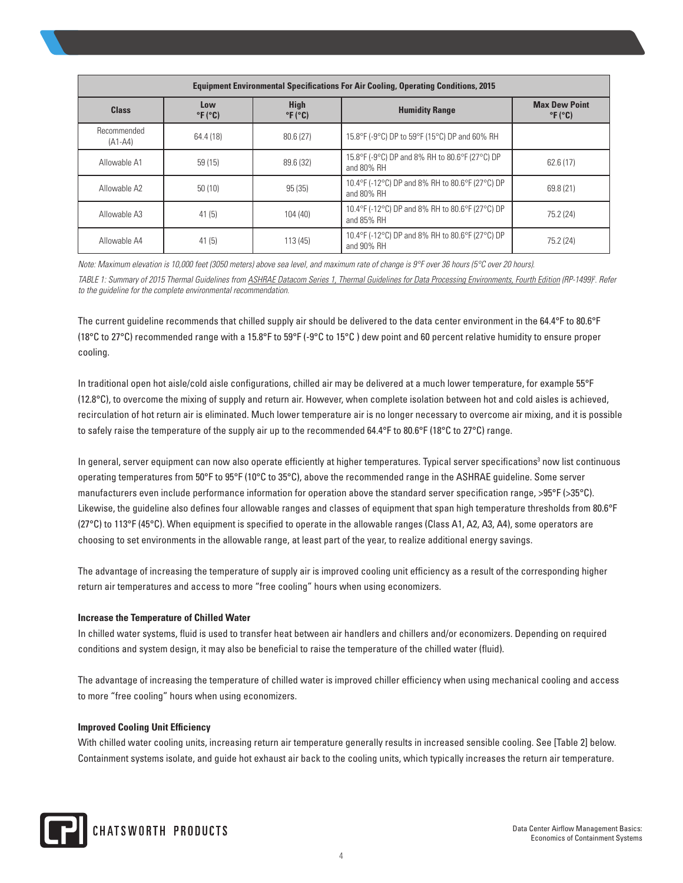| <b>Equipment Environmental Specifications For Air Cooling, Operating Conditions, 2015</b> |                                   |                                           |                                                               |                                                    |  |
|-------------------------------------------------------------------------------------------|-----------------------------------|-------------------------------------------|---------------------------------------------------------------|----------------------------------------------------|--|
| <b>Class</b>                                                                              | Low<br>$\degree$ F ( $\degree$ C) | <b>High</b><br>$\degree$ F ( $\degree$ C) | <b>Humidity Range</b>                                         | <b>Max Dew Point</b><br>$\degree$ F ( $\degree$ C) |  |
| Recommended<br>$(A1-A4)$                                                                  | 64.4 (18)                         | 80.6(27)                                  | 15.8°F (-9°C) DP to 59°F (15°C) DP and 60% RH                 |                                                    |  |
| Allowable A1                                                                              | 59(15)                            | 89.6 (32)                                 | 15.8°F (-9°C) DP and 8% RH to 80.6°F (27°C) DP<br>and 80% RH  | 62.6 (17)                                          |  |
| Allowable A2                                                                              | 50(10)                            | 95(35)                                    | 10.4°F (-12°C) DP and 8% RH to 80.6°F (27°C) DP<br>and 80% RH | 69.8 (21)                                          |  |
| Allowable A3                                                                              | 41(5)                             | 104(40)                                   | 10.4°F (-12°C) DP and 8% RH to 80.6°F (27°C) DP<br>and 85% RH | 75.2 (24)                                          |  |
| Allowable A4                                                                              | 41(5)                             | 113(45)                                   | 10.4°F (-12°C) DP and 8% RH to 80.6°F (27°C) DP<br>and 90% RH | 75.2 (24)                                          |  |

*Note: Maximum elevation is 10,000 feet (3050 meters) above sea level, and maximum rate of change is 9°F over 36 hours (5°C over 20 hours).*

TABLE 1: Summary of 2015 Thermal Guidelines from ASHRAE Datacom Series 1, Thermal Guidelines for Data Processing Environments, Fourth Edition (RP-1499)<sup>2</sup>. Refer *to the guideline for the complete environmental recommendation.*

The current guideline recommends that chilled supply air should be delivered to the data center environment in the 64.4°F to 80.6°F (18°C to 27°C) recommended range with a 15.8°F to 59°F (-9°C to 15°C ) dew point and 60 percent relative humidity to ensure proper cooling.

In traditional open hot aisle/cold aisle configurations, chilled air may be delivered at a much lower temperature, for example 55°F (12.8°C), to overcome the mixing of supply and return air. However, when complete isolation between hot and cold aisles is achieved, recirculation of hot return air is eliminated. Much lower temperature air is no longer necessary to overcome air mixing, and it is possible to safely raise the temperature of the supply air up to the recommended 64.4 $\degree$ F to 80.6 $\degree$ F (18 $\degree$ C to 27 $\degree$ C) range.

In general, server equipment can now also operate efficiently at higher temperatures. Typical server specifications<sup>3</sup> now list continuous operating temperatures from 50°F to 95°F (10°C to 35°C), above the recommended range in the ASHRAE guideline. Some server manufacturers even include performance information for operation above the standard server specification range, >95°F (>35°C). Likewise, the guideline also defines four allowable ranges and classes of equipment that span high temperature thresholds from 80.6°F (27°C) to 113°F (45°C). When equipment is specified to operate in the allowable ranges (Class A1, A2, A3, A4), some operators are choosing to set environments in the allowable range, at least part of the year, to realize additional energy savings.

The advantage of increasing the temperature of supply air is improved cooling unit efficiency as a result of the corresponding higher return air temperatures and access to more "free cooling" hours when using economizers.

#### **Increase the Temperature of Chilled Water**

In chilled water systems, fluid is used to transfer heat between air handlers and chillers and/or economizers. Depending on required conditions and system design, it may also be beneficial to raise the temperature of the chilled water (fluid).

The advantage of increasing the temperature of chilled water is improved chiller efficiency when using mechanical cooling and access to more "free cooling" hours when using economizers.

#### **Improved Cooling Unit Efficiency**

With chilled water cooling units, increasing return air temperature generally results in increased sensible cooling. See [Table 2] below. Containment systems isolate, and guide hot exhaust air back to the cooling units, which typically increases the return air temperature.

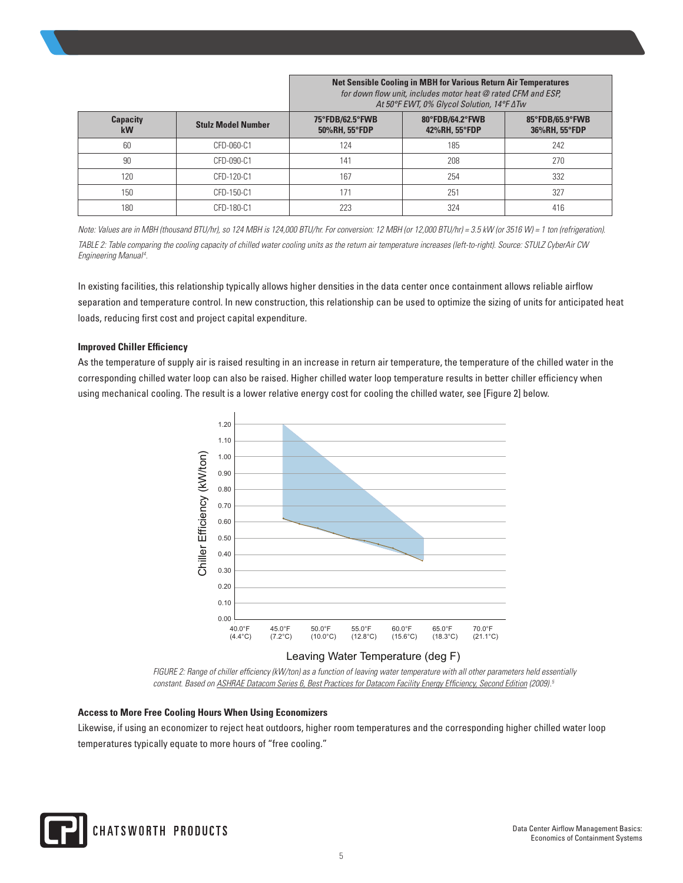**Net Sensible Cooling in MBH for Various Return Air Temperatures**  *for down flow unit, includes motor heat @ rated CFM and ESP, At 50°F EWT, 0% Glycol Solution, 14°F ΔTw*

| <b>Capacity</b><br>kW | <b>Stulz Model Number</b> | 75°FDB/62.5°FWB<br>50%RH, 55°FDP | 80°FDB/64.2°FWB<br>42%RH, 55°FDP | 85°FDB/65.9°FWB<br>36%RH, 55°FDP |  |
|-----------------------|---------------------------|----------------------------------|----------------------------------|----------------------------------|--|
| 60                    | CFD-060-C1                | 124                              | 185                              | 242                              |  |
| 90                    | CFD-090-C1                | 141                              | 208                              | 270                              |  |
| 120                   | CFD-120-C1                | 167                              | 254                              | 332                              |  |
| 150                   | CFD-150-C1                |                                  | 251                              | 327                              |  |
| 180                   | CFD-180-C1                | 223                              | 324                              | 416                              |  |

*Note: Values are in MBH (thousand BTU/hr), so 124 MBH is 124,000 BTU/hr. For conversion: 12 MBH (or 12,000 BTU/hr) = 3.5 kW (or 3516 W) = 1 ton (refrigeration).*

*TABLE 2: Table comparing the cooling capacity of chilled water cooling units as the return air temperature increases (left-to-right). Source: STULZ CyberAir CW Engineering Manual <sup>4</sup> .*

In existing facilities, this relationship typically allows higher densities in the data center once containment allows reliable airflow separation and temperature control. In new construction, this relationship can be used to optimize the sizing of units for anticipated heat loads, reducing first cost and project capital expenditure.

#### **Improved Chiller Efficiency**

As the temperature of supply air is raised resulting in an increase in return air temperature, the temperature of the chilled water in the corresponding chilled water loop can also be raised. Higher chilled water loop temperature results in better chiller efficiency when using mechanical cooling. The result is a lower relative energy cost for cooling the chilled water, see [Figure 2] below.



## Leaving Water Temperature (deg F)

*FIGURE 2: Range of chiller efficiency (kW/ton) as a function of leaving water temperature with all other parameters held essentially constant. Based on ASHRAE Datacom Series 6, Best Practices for Datacom Facility Energy Efficiency, Second Edition (2009).5*

#### **Access to More Free Cooling Hours When Using Economizers**

Likewise, if using an economizer to reject heat outdoors, higher room temperatures and the corresponding higher chilled water loop temperatures typically equate to more hours of "free cooling."

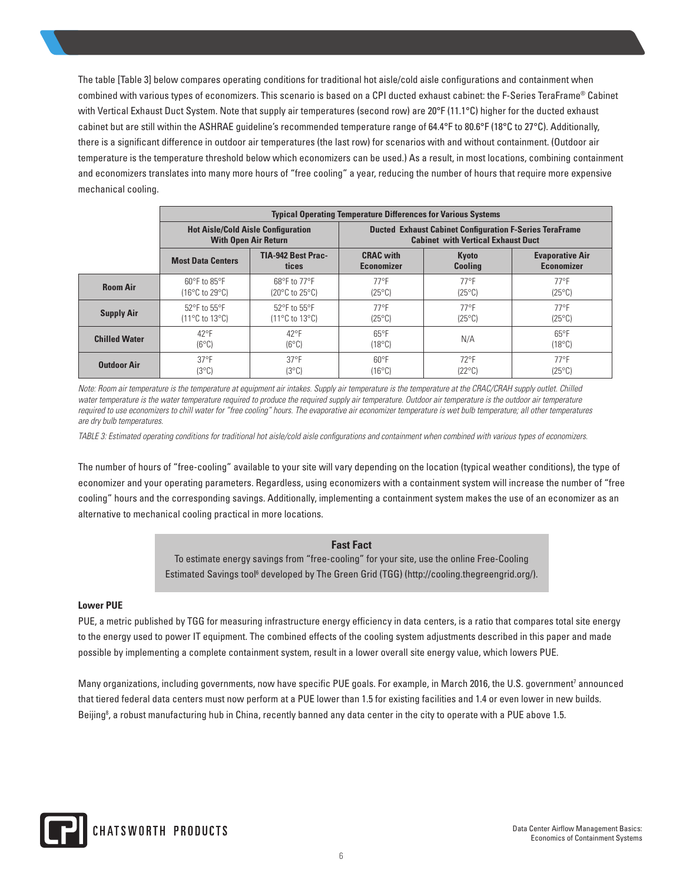The table [Table 3] below compares operating conditions for traditional hot aisle/cold aisle configurations and containment when combined with various types of economizers. This scenario is based on a CPI ducted exhaust cabinet: the F-Series TeraFrame® Cabinet with Vertical Exhaust Duct System. Note that supply air temperatures (second row) are 20°F (11.1°C) higher for the ducted exhaust cabinet but are still within the ASHRAE guideline's recommended temperature range of 64.4°F to 80.6°F (18°C to 27°C). Additionally, there is a significant difference in outdoor air temperatures (the last row) for scenarios with and without containment. (Outdoor air temperature is the temperature threshold below which economizers can be used.) As a result, in most locations, combining containment and economizers translates into many more hours of "free cooling" a year, reducing the number of hours that require more expensive mechanical cooling.

|                      | <b>Typical Operating Temperature Differences for Various Systems</b>        |                                                                         |                                                                                                             |                                   |                                             |
|----------------------|-----------------------------------------------------------------------------|-------------------------------------------------------------------------|-------------------------------------------------------------------------------------------------------------|-----------------------------------|---------------------------------------------|
|                      | <b>Hot Aisle/Cold Aisle Configuration</b><br><b>With Open Air Return</b>    |                                                                         | <b>Ducted Exhaust Cabinet Configuration F-Series TeraFrame</b><br><b>Cabinet with Vertical Exhaust Duct</b> |                                   |                                             |
|                      | <b>Most Data Centers</b>                                                    | TIA-942 Best Prac-<br>tices                                             | <b>CRAC</b> with<br><b>Economizer</b>                                                                       | Kyoto<br><b>Cooling</b>           | <b>Evaporative Air</b><br><b>Economizer</b> |
| <b>Room Air</b>      | $60^{\circ}$ F to $85^{\circ}$ F<br>$(16^{\circ}$ C to 29 $^{\circ}$ C)     | $68^{\circ}$ F to 77 $^{\circ}$ F<br>$(20^{\circ}$ C to $25^{\circ}$ C) | $77^{\circ}$ F<br>$(25^{\circ}C)$                                                                           | $77^{\circ}$ F<br>$(25^{\circ}C)$ | $77^{\circ}$ F<br>$(25^{\circ}C)$           |
| <b>Supply Air</b>    | $52^{\circ}$ F to $55^{\circ}$ F<br>$(11^{\circ}C \text{ to } 13^{\circ}C)$ | 52°F to 55°F<br>$(11^{\circ}$ C to $13^{\circ}$ C)                      | $77^{\circ}$ F<br>$(25^{\circ}C)$                                                                           | $77^{\circ}$ F<br>$(25^{\circ}C)$ | $77^{\circ}$ F<br>$(25^{\circ}C)$           |
| <b>Chilled Water</b> | $42^{\circ}F$<br>$(6^{\circ}C)$                                             | $42^{\circ}F$<br>$(6^{\circ}C)$                                         | $65^{\circ}F$<br>$(18^{\circ}C)$                                                                            | N/A                               | $65^{\circ}F$<br>$(18^{\circ}C)$            |
| <b>Outdoor Air</b>   | $37^{\circ}$ F<br>(3°C)                                                     | $37^{\circ}$ F<br>(3°C)                                                 | $60^{\circ}F$<br>$(16^{\circ}C)$                                                                            | $72^{\circ}$ F<br>$(22^{\circ}C)$ | $77^{\circ}$ F<br>$(25^{\circ}C)$           |

*Note: Room air temperature is the temperature at equipment air intakes. Supply air temperature is the temperature at the CRAC/CRAH supply outlet. Chilled* water temperature is the water temperature required to produce the required supply air temperature. Outdoor air temperature is the outdoor air temperature required to use economizers to chill water for "free cooling" hours. The evaporative air economizer temperature is wet bulb temperature; all other temperatures *are dry bulb temperatures.*

*TABLE 3: Estimated operating conditions for traditional hot aisle/cold aisle configurations and containment when combined with various types of economizers.*

The number of hours of "free-cooling" available to your site will vary depending on the location (typical weather conditions), the type of economizer and your operating parameters. Regardless, using economizers with a containment system will increase the number of "free cooling" hours and the corresponding savings. Additionally, implementing a containment system makes the use of an economizer as an alternative to mechanical cooling practical in more locations.

#### **Fast Fact**

To estimate energy savings from "free-cooling" for your site, use the online Free-Cooling Estimated Savings tool<sup>6</sup> developed by The Green Grid (TGG) (http://cooling.thegreengrid.org/).

#### **Lower PUE**

PUE, a metric published by TGG for measuring infrastructure energy efficiency in data centers, is a ratio that compares total site energy to the energy used to power IT equipment. The combined effects of the cooling system adjustments described in this paper and made possible by implementing a complete containment system, result in a lower overall site energy value, which lowers PUE.

Many organizations, including governments, now have specific PUE goals. For example, in March 2016, the U.S. government<sup>7</sup> announced that tiered federal data centers must now perform at a PUE lower than 1.5 for existing facilities and 1.4 or even lower in new builds. Beijing<sup>8</sup>, a robust manufacturing hub in China, recently banned any data center in the city to operate with a PUE above 1.5.

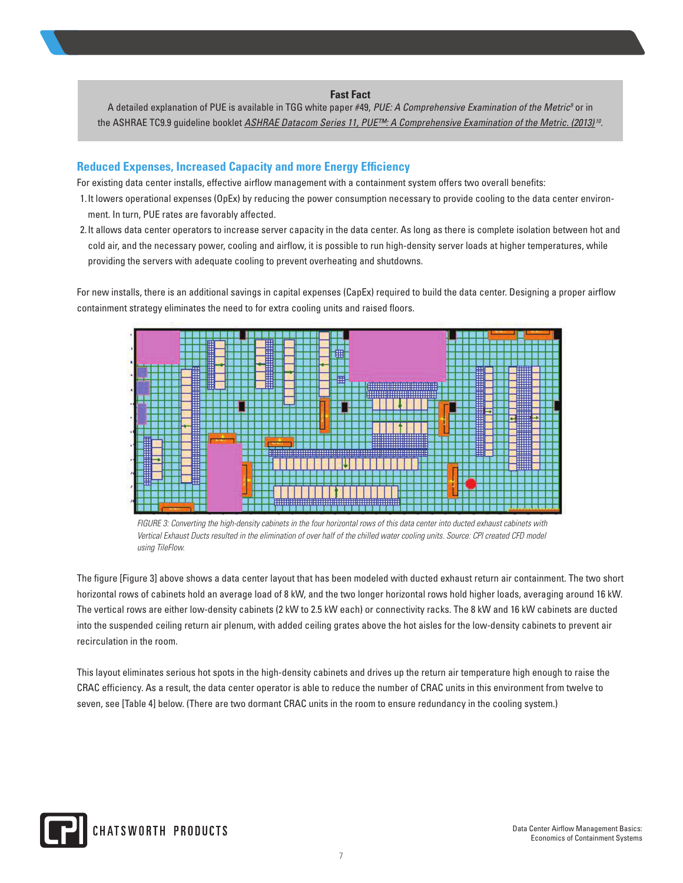**Fast Fact** A detailed explanation of PUE is available in TGG white paper #49, *PUE: A Comprehensive Examination of the Metric<sup>9</sup>* or in the ASHRAE TC9.9 guideline booklet *ASHRAE Datacom Series 11, PUE™: A Comprehensive Examination of the Metric. (2013) <sup>10</sup>*.

# **Reduced Expenses, Increased Capacity and more Energy Efficiency**

For existing data center installs, effective airflow management with a containment system offers two overall benefits:

- 1.It lowers operational expenses (OpEx) by reducing the power consumption necessary to provide cooling to the data center environment. In turn, PUE rates are favorably affected.
- 2.It allows data center operators to increase server capacity in the data center. As long as there is complete isolation between hot and cold air, and the necessary power, cooling and airflow, it is possible to run high-density server loads at higher temperatures, while providing the servers with adequate cooling to prevent overheating and shutdowns.

For new installs, there is an additional savings in capital expenses (CapEx) required to build the data center. Designing a proper airflow containment strategy eliminates the need to for extra cooling units and raised floors.



*FIGURE 3: Converting the high-density cabinets in the four horizontal rows of this data center into ducted exhaust cabinets with Vertical Exhaust Ducts resulted in the elimination of over half of the chilled water cooling units. Source: CPI created CFD model using TileFlow.* 

The figure [Figure 3] above shows a data center layout that has been modeled with ducted exhaust return air containment. The two short horizontal rows of cabinets hold an average load of 8 kW, and the two longer horizontal rows hold higher loads, averaging around 16 kW. The vertical rows are either low-density cabinets (2 kW to 2.5 kW each) or connectivity racks. The 8 kW and 16 kW cabinets are ducted into the suspended ceiling return air plenum, with added ceiling grates above the hot aisles for the low-density cabinets to prevent air recirculation in the room.

This layout eliminates serious hot spots in the high-density cabinets and drives up the return air temperature high enough to raise the CRAC efficiency. As a result, the data center operator is able to reduce the number of CRAC units in this environment from twelve to seven, see [Table 4] below. (There are two dormant CRAC units in the room to ensure redundancy in the cooling system.)

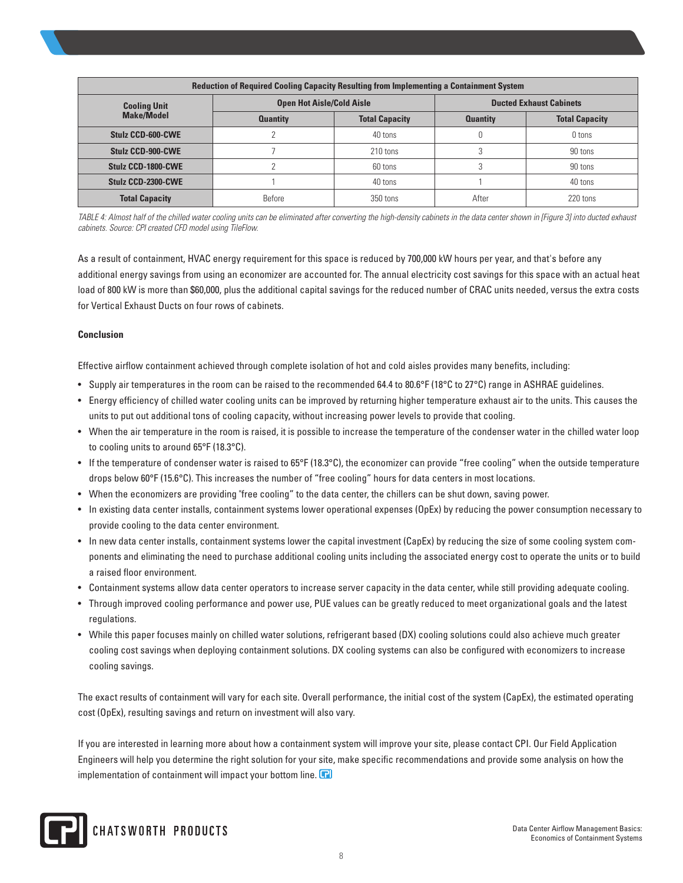| <b>Reduction of Required Cooling Capacity Resulting from Implementing a Containment System</b> |                                  |                       |                                |                       |  |
|------------------------------------------------------------------------------------------------|----------------------------------|-----------------------|--------------------------------|-----------------------|--|
| <b>Cooling Unit</b>                                                                            | <b>Open Hot Aisle/Cold Aisle</b> |                       | <b>Ducted Exhaust Cabinets</b> |                       |  |
| <b>Make/Model</b>                                                                              | <b>Quantity</b>                  | <b>Total Capacity</b> | <b>Quantity</b>                | <b>Total Capacity</b> |  |
| Stulz CCD-600-CWE                                                                              |                                  | 40 tons               |                                | 0 tons                |  |
| Stulz CCD-900-CWE                                                                              |                                  | 210 tons              |                                | 90 tons               |  |
| Stulz CCD-1800-CWE                                                                             |                                  | 60 tons               |                                | 90 tons               |  |
| Stulz CCD-2300-CWE                                                                             |                                  | 40 tons               |                                | 40 tons               |  |
| <b>Total Capacity</b>                                                                          | Before                           | 350 tons              | After                          | 220 tons              |  |

*TABLE 4: Almost half of the chilled water cooling units can be eliminated after converting the high-density cabinets in the data center shown in [Figure 3] into ducted exhaust cabinets. Source: CPI created CFD model using TileFlow.*

As a result of containment, HVAC energy requirement for this space is reduced by 700,000 kW hours per year, and that's before any additional energy savings from using an economizer are accounted for. The annual electricity cost savings for this space with an actual heat load of 800 kW is more than \$60,000, plus the additional capital savings for the reduced number of CRAC units needed, versus the extra costs for Vertical Exhaust Ducts on four rows of cabinets.

#### **Conclusion**

Effective airflow containment achieved through complete isolation of hot and cold aisles provides many benefits, including:

- Supply air temperatures in the room can be raised to the recommended 64.4 to 80.6°F (18°C to 27°C) range in ASHRAE guidelines.
- Energy efficiency of chilled water cooling units can be improved by returning higher temperature exhaust air to the units. This causes the units to put out additional tons of cooling capacity, without increasing power levels to provide that cooling.
- When the air temperature in the room is raised, it is possible to increase the temperature of the condenser water in the chilled water loop to cooling units to around 65°F (18.3°C).
- If the temperature of condenser water is raised to 65°F (18.3°C), the economizer can provide "free cooling" when the outside temperature drops below 60°F (15.6°C). This increases the number of "free cooling" hours for data centers in most locations.
- When the economizers are providing "free cooling" to the data center, the chillers can be shut down, saving power.
- In existing data center installs, containment systems lower operational expenses (OpEx) by reducing the power consumption necessary to provide cooling to the data center environment.
- In new data center installs, containment systems lower the capital investment (CapEx) by reducing the size of some cooling system components and eliminating the need to purchase additional cooling units including the associated energy cost to operate the units or to build a raised floor environment.
- Containment systems allow data center operators to increase server capacity in the data center, while still providing adequate cooling.
- Through improved cooling performance and power use, PUE values can be greatly reduced to meet organizational goals and the latest regulations.
- While this paper focuses mainly on chilled water solutions, refrigerant based (DX) cooling solutions could also achieve much greater cooling cost savings when deploying containment solutions. DX cooling systems can also be configured with economizers to increase cooling savings.

The exact results of containment will vary for each site. Overall performance, the initial cost of the system (CapEx), the estimated operating cost (OpEx), resulting savings and return on investment will also vary.

If you are interested in learning more about how a containment system will improve your site, please contact CPI. Our Field Application Engineers will help you determine the right solution for your site, make specific recommendations and provide some analysis on how the implementation of containment will impact your bottom line.